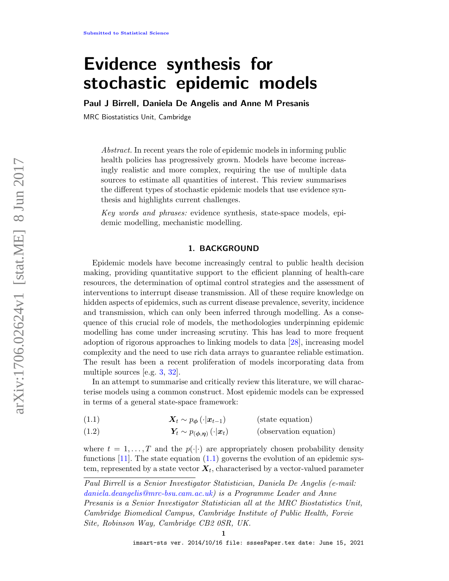# Evidence synthesis for stochastic epidemic models

Paul J Birrell, Daniela De Angelis and Anne M Presanis

MRC Biostatistics Unit, Cambridge

Abstract. In recent years the role of epidemic models in informing public health policies has progressively grown. Models have become increasingly realistic and more complex, requiring the use of multiple data sources to estimate all quantities of interest. This review summarises the different types of stochastic epidemic models that use evidence synthesis and highlights current challenges.

Key words and phrases: evidence synthesis, state-space models, epidemic modelling, mechanistic modelling.

## 1. BACKGROUND

<span id="page-0-2"></span>Epidemic models have become increasingly central to public health decision making, providing quantitative support to the efficient planning of health-care resources, the determination of optimal control strategies and the assessment of interventions to interrupt disease transmission. All of these require knowledge on hidden aspects of epidemics, such as current disease prevalence, severity, incidence and transmission, which can only been inferred through modelling. As a consequence of this crucial role of models, the methodologies underpinning epidemic modelling has come under increasing scrutiny. This has lead to more frequent adoption of rigorous approaches to linking models to data [\[28\]](#page-11-0), increasing model complexity and the need to use rich data arrays to guarantee reliable estimation. The result has been a recent proliferation of models incorporating data from multiple sources [e.g. [3,](#page-10-0) [32\]](#page-11-1).

In an attempt to summarise and critically review this literature, we will characterise models using a common construct. Most epidemic models can be expressed in terms of a general state-space framework:

<span id="page-0-0"></span>(1.1)  $\mathbf{X}_t \sim p_{\phi}(\cdot|\boldsymbol{x}_{t-1})$  (state equation)

<span id="page-0-1"></span>(1.2) 
$$
Y_t \sim p_{(\phi, \eta)}(\cdot | \mathbf{x}_t)
$$
 (observation equation)

where  $t = 1, \ldots, T$  and the  $p(\cdot|\cdot)$  are appropriately chosen probability density functions  $[11]$ . The state equation  $(1.1)$  governs the evolution of an epidemic system, represented by a state vector  $\boldsymbol{X}_t$ , characterised by a vector-valued parameter

Paul Birrell is a Senior Investigator Statistician, Daniela De Angelis (e-mail: [daniela.deangelis@mrc-bsu.cam.ac.uk\)](mailto:daniela.deangelis@mrc-bsu.cam.ac.uk) is a Programme Leader and Anne Presanis is a Senior Investigator Statistician all at the MRC Biostatistics Unit, Cambridge Biomedical Campus, Cambridge Institute of Public Health, Forvie Site, Robinson Way, Cambridge CB2 0SR, UK.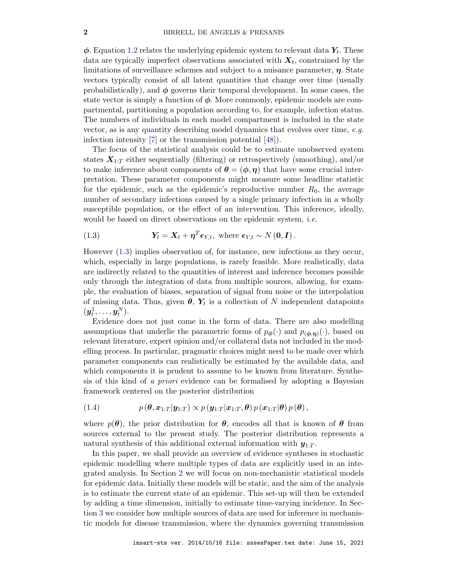$\phi$ . Equation [1.2](#page-0-1) relates the underlying epidemic system to relevant data  $Y_t$ . These data are typically imperfect observations associated with  $X_t$ , constrained by the limitations of surveillance schemes and subject to a nuisance parameter,  $\eta$ . State vectors typically consist of all latent quantities that change over time (usually probabilistically), and  $\phi$  governs their temporal development. In some cases, the state vector is simply a function of  $\phi$ . More commonly, epidemic models are compartmental, partitioning a population according to, for example, infection status. The numbers of individuals in each model compartment is included in the state vector, as is any quantity describing model dynamics that evolves over time, e.g. infection intensity  $\begin{bmatrix} 7 \end{bmatrix}$  or the transmission potential  $\begin{bmatrix} 48 \end{bmatrix}$ .

The focus of the statistical analysis could be to estimate unobserved system states  $X_{1:T}$  either sequentially (filtering) or retrospectively (smoothing), and/or to make inference about components of  $\theta = (\phi, \eta)$  that have some crucial interpretation. These parameter components might measure some headline statistic for the epidemic, such as the epidemic's reproductive number  $R_0$ , the average number of secondary infections caused by a single primary infection in a wholly susceptible population, or the effect of an intervention. This inference, ideally, would be based on direct observations on the epidemic system, *i.e.* 

<span id="page-1-0"></span>(1.3) 
$$
Y_t = X_t + \eta^T \epsilon_{Y,t}, \text{ where } \epsilon_{Y,t} \sim N(0, I).
$$

However [\(1.3\)](#page-1-0) implies observation of, for instance, new infections as they occur, which, especially in large populations, is rarely feasible. More realistically, data are indirectly related to the quantities of interest and inference becomes possible only through the integration of data from multiple sources, allowing, for example, the evaluation of biases, separation of signal from noise or the interpolation of missing data. Thus, given  $\theta$ ,  $Y_t$  is a collection of N independent datapoints  $(\boldsymbol{y}_t^1,\dots,\boldsymbol{y}_t^N).$ 

Evidence does not just come in the form of data. There are also modelling assumptions that underlie the parametric forms of  $p_{\phi}(\cdot)$  and  $p_{(\phi,\eta)}(\cdot)$ , based on relevant literature, expert opinion and/or collateral data not included in the modelling process. In particular, pragmatic choices might need to be made over which parameter components can realistically be estimated by the available data, and which components it is prudent to assume to be known from literature. Synthesis of this kind of a priori evidence can be formalised by adopting a Bayesian framework centered on the posterior distribution

<span id="page-1-1"></span>(1.4) 
$$
p(\boldsymbol{\theta}, \boldsymbol{x}_{1:T} | \boldsymbol{y}_{1:T}) \propto p(\boldsymbol{y}_{1:T} | \boldsymbol{x}_{1:T}, \boldsymbol{\theta}) p(\boldsymbol{x}_{1:T} | \boldsymbol{\theta}) p(\boldsymbol{\theta}),
$$

where  $p(\theta)$ , the prior distribution for  $\theta$ , encodes all that is known of  $\theta$  from sources external to the present study. The posterior distribution represents a natural synthesis of this additional external information with  $y_{1:T}$ .

In this paper, we shall provide an overview of evidence syntheses in stochastic epidemic modelling where multiple types of data are explicitly used in an integrated analysis. In Section [2](#page-2-0) we will focus on non-mechanistic statistical models for epidemic data. Initially these models will be static, and the aim of the analysis is to estimate the current state of an epidemic. This set-up will then be extended by adding a time dimension, initially to estimate time-varying incidence. In Section [3](#page-5-0) we consider how multiple sources of data are used for inference in mechanistic models for disease transmission, where the dynamics governing transmission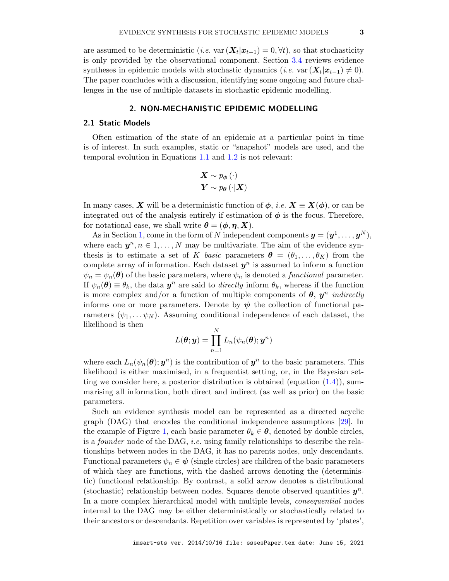are assumed to be deterministic (*i.e.* var  $(X_t|x_{t-1}) = 0, \forall t$ ), so that stochasticity is only provided by the observational component. Section [3.4](#page-7-0) reviews evidence syntheses in epidemic models with stochastic dynamics (*i.e.* var  $(X_t|x_{t-1}) \neq 0$ ). The paper concludes with a discussion, identifying some ongoing and future challenges in the use of multiple datasets in stochastic epidemic modelling.

# 2. NON-MECHANISTIC EPIDEMIC MODELLING

## <span id="page-2-1"></span><span id="page-2-0"></span>2.1 Static Models

Often estimation of the state of an epidemic at a particular point in time is of interest. In such examples, static or "snapshot" models are used, and the temporal evolution in Equations [1.1](#page-0-0) and [1.2](#page-0-1) is not relevant:

$$
\mathbf{X} \sim p_{\boldsymbol{\phi}}(\cdot) \mathbf{Y} \sim p_{\boldsymbol{\theta}}(\cdot | \mathbf{X})
$$

In many cases, X will be a deterministic function of  $\phi$ , *i.e.*  $X \equiv X(\phi)$ , or can be integrated out of the analysis entirely if estimation of  $\phi$  is the focus. Therefore, for notational ease, we shall write  $\theta = (\phi, \eta, X)$ .

As in Section [1,](#page-0-2) come in the form of N independent components  $\mathbf{y} = (\mathbf{y}^1, \dots, \mathbf{y}^N)$ , where each  $y^n, n \in 1, ..., N$  may be multivariate. The aim of the evidence synthesis is to estimate a set of K basic parameters  $\boldsymbol{\theta} = (\theta_1, \dots, \theta_K)$  from the complete array of information. Each dataset  $y^n$  is assumed to inform a function  $\psi_n = \psi_n(\theta)$  of the basic parameters, where  $\psi_n$  is denoted a *functional* parameter. If  $\psi_n(\theta) \equiv \theta_k$ , the data  $y^n$  are said to *directly* inform  $\theta_k$ , whereas if the function is more complex and/or a function of multiple components of  $\theta$ ,  $y^n$  *indirectly* informs one or more parameters. Denote by  $\psi$  the collection of functional parameters  $(\psi_1, \ldots, \psi_N)$ . Assuming conditional independence of each dataset, the likelihood is then

$$
L(\boldsymbol{\theta}; \boldsymbol{y}) = \prod_{n=1}^N L_n(\psi_n(\boldsymbol{\theta}); \boldsymbol{y}^n)
$$

where each  $L_n(\psi_n(\theta); y^n)$  is the contribution of  $y^n$  to the basic parameters. This likelihood is either maximised, in a frequentist setting, or, in the Bayesian setting we consider here, a posterior distribution is obtained (equation  $(1.4)$ ), summarising all information, both direct and indirect (as well as prior) on the basic parameters.

Such an evidence synthesis model can be represented as a directed acyclic graph (DAG) that encodes the conditional independence assumptions [\[29\]](#page-11-2). In the example of Figure [1,](#page-3-0) each basic parameter  $\theta_k \in \mathcal{A}$ , denoted by double circles, is a founder node of the DAG, i.e. using family relationships to describe the relationships between nodes in the DAG, it has no parents nodes, only descendants. Functional parameters  $\psi_n \in \psi$  (single circles) are children of the basic parameters of which they are functions, with the dashed arrows denoting the (deterministic) functional relationship. By contrast, a solid arrow denotes a distributional (stochastic) relationship between nodes. Squares denote observed quantities  $y^n$ . In a more complex hierarchical model with multiple levels, consequential nodes internal to the DAG may be either deterministically or stochastically related to their ancestors or descendants. Repetition over variables is represented by 'plates',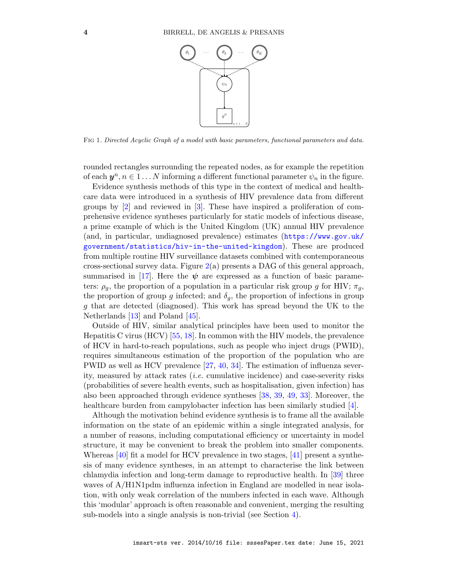

<span id="page-3-0"></span>Fig 1. Directed Acyclic Graph of a model with basic parameters, functional parameters and data.

rounded rectangles surrounding the repeated nodes, as for example the repetition of each  $y^n, n \in 1 \dots N$  informing a different functional parameter  $\psi_n$  in the figure.

Evidence synthesis methods of this type in the context of medical and healthcare data were introduced in a synthesis of HIV prevalence data from different groups by [\[2\]](#page-10-3) and reviewed in [\[3\]](#page-10-0). These have inspired a proliferation of comprehensive evidence syntheses particularly for static models of infectious disease, a prime example of which is the United Kingdom (UK) annual HIV prevalence (and, in particular, undiagnosed prevalence) estimates ([https://www.gov.uk/](https://www.gov.uk/government/statistics/hiv-in-the-united-kingdom) [government/statistics/hiv-in-the-united-kingdom](https://www.gov.uk/government/statistics/hiv-in-the-united-kingdom)). These are produced from multiple routine HIV surveillance datasets combined with contemporaneous cross-sectional survey data. Figure [2\(](#page-4-0)a) presents a DAG of this general approach, summarised in [\[17\]](#page-10-4). Here the  $\psi$  are expressed as a function of basic parameters:  $\rho_q$ , the proportion of a population in a particular risk group g for HIV;  $\pi_q$ , the proportion of group g infected; and  $\delta_q$ , the proportion of infections in group g that are detected (diagnosed). This work has spread beyond the UK to the Netherlands [\[13\]](#page-10-5) and Poland [\[45\]](#page-12-1).

Outside of HIV, similar analytical principles have been used to monitor the Hepatitis C virus (HCV) [\[55,](#page-12-2) [18\]](#page-10-6). In common with the HIV models, the prevalence of HCV in hard-to-reach populations, such as people who inject drugs (PWID), requires simultaneous estimation of the proportion of the population who are PWID as well as HCV prevalence [\[27,](#page-11-3) [40,](#page-12-3) [34\]](#page-11-4). The estimation of influenza severity, measured by attack rates (i.e. cumulative incidence) and case-severity risks (probabilities of severe health events, such as hospitalisation, given infection) has also been approached through evidence syntheses [\[38,](#page-11-5) [39,](#page-12-4) [49,](#page-12-5) [33\]](#page-11-6). Moreover, the healthcare burden from campylobacter infection has been similarly studied [\[4\]](#page-10-7).

Although the motivation behind evidence synthesis is to frame all the available information on the state of an epidemic within a single integrated analysis, for a number of reasons, including computational efficiency or uncertainty in model structure, it may be convenient to break the problem into smaller components. Whereas [\[40\]](#page-12-3) fit a model for HCV prevalence in two stages, [\[41\]](#page-12-6) present a synthesis of many evidence syntheses, in an attempt to characterise the link between chlamydia infection and long-term damage to reproductive health. In [\[39\]](#page-12-4) three waves of  $A/H1N1pdm$  influenza infection in England are modelled in near isolation, with only weak correlation of the numbers infected in each wave. Although this 'modular' approach is often reasonable and convenient, merging the resulting sub-models into a single analysis is non-trivial (see Section [4\)](#page-8-0).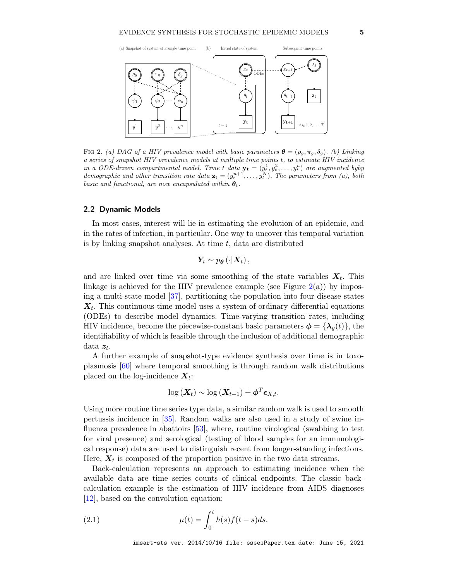

<span id="page-4-0"></span>FIG 2. (a) DAG of a HIV prevalence model with basic parameters  $\boldsymbol{\theta} = (\rho_g, \pi_g, \delta_g)$ . (b) Linking a series of snapshot HIV prevalence models at multiple time points t, to estimate HIV incidence in a ODE-driven compartmental model. Time t data  $\mathbf{y_t} = (y_t^1, y_t^2, \dots, y_t^n)$  are augmented byby demographic and other transition rate data  $\mathbf{z_t} = (y_t^{n+1}, \dots, y_t^N)$ . The parameters from (a), both basic and functional, are now encapsulated within  $\theta_t$ .

## <span id="page-4-2"></span>2.2 Dynamic Models

In most cases, interest will lie in estimating the evolution of an epidemic, and in the rates of infection, in particular. One way to uncover this temporal variation is by linking snapshot analyses. At time  $t$ , data are distributed

$$
\boldsymbol{Y}_t \sim p_{\boldsymbol{\theta}}\left(\cdot|\boldsymbol{X}_t\right),
$$

and are linked over time via some smoothing of the state variables  $X_t$ . This linkage is achieved for the HIV prevalence example (see Figure  $2(a)$  $2(a)$ ) by imposing a multi-state model [\[37\]](#page-11-7), partitioning the population into four disease states  $X_t$ . This continuous-time model uses a system of ordinary differential equations (ODEs) to describe model dynamics. Time-varying transition rates, including HIV incidence, become the piecewise-constant basic parameters  $\phi = {\lambda_q(t)}$ , the identifiability of which is feasible through the inclusion of additional demographic data  $z_t$ .

A further example of snapshot-type evidence synthesis over time is in toxoplasmosis [\[60\]](#page-13-0) where temporal smoothing is through random walk distributions placed on the log-incidence  $X_t$ :

$$
\log\left(\boldsymbol{X}_{t}\right) \sim \log\left(\boldsymbol{X}_{t-1}\right) + \boldsymbol{\phi}^{T} \boldsymbol{\epsilon}_{X,t}.
$$

Using more routine time series type data, a similar random walk is used to smooth pertussis incidence in [\[35\]](#page-11-8). Random walks are also used in a study of swine influenza prevalence in abattoirs [\[53\]](#page-12-7), where, routine virological (swabbing to test for viral presence) and serological (testing of blood samples for an immunological response) data are used to distinguish recent from longer-standing infections. Here,  $X_t$  is composed of the proportion positive in the two data streams.

Back-calculation represents an approach to estimating incidence when the available data are time series counts of clinical endpoints. The classic backcalculation example is the estimation of HIV incidence from AIDS diagnoses [\[12\]](#page-10-8), based on the convolution equation:

<span id="page-4-1"></span>(2.1) 
$$
\mu(t) = \int_0^t h(s)f(t-s)ds.
$$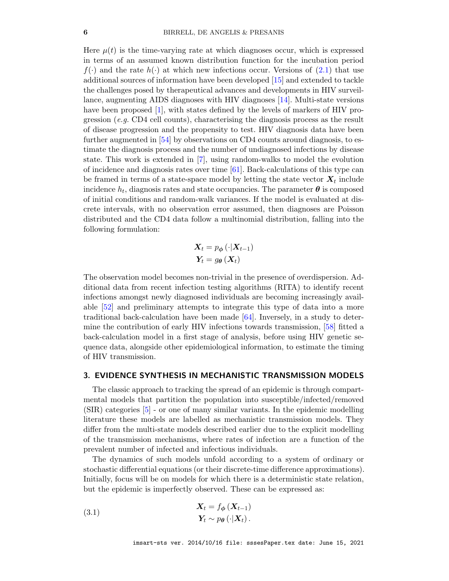Here  $\mu(t)$  is the time-varying rate at which diagnoses occur, which is expressed in terms of an assumed known distribution function for the incubation period  $f(\cdot)$  and the rate  $h(\cdot)$  at which new infections occur. Versions of [\(2.1\)](#page-4-1) that use additional sources of information have been developed [\[15\]](#page-10-9) and extended to tackle the challenges posed by therapeutical advances and developments in HIV surveillance, augmenting AIDS diagnoses with HIV diagnoses [\[14\]](#page-10-10). Multi-state versions have been proposed [\[1\]](#page-10-11), with states defined by the levels of markers of HIV progression (e.g. CD4 cell counts), characterising the diagnosis process as the result of disease progression and the propensity to test. HIV diagnosis data have been further augmented in [\[54\]](#page-12-8) by observations on CD4 counts around diagnosis, to estimate the diagnosis process and the number of undiagnosed infections by disease state. This work is extended in [\[7\]](#page-10-2), using random-walks to model the evolution of incidence and diagnosis rates over time [\[61\]](#page-13-1). Back-calculations of this type can be framed in terms of a state-space model by letting the state vector  $X_t$  include incidence  $h_t,$  diagnosis rates and state occupancies. The parameter  $\boldsymbol{\theta}$  is composed of initial conditions and random-walk variances. If the model is evaluated at discrete intervals, with no observation error assumed, then diagnoses are Poisson distributed and the CD4 data follow a multinomial distribution, falling into the following formulation:

$$
\mathbf{X}_{t} = p_{\boldsymbol{\phi}}(\cdot | \mathbf{X}_{t-1})
$$

$$
\mathbf{Y}_{t} = g_{\boldsymbol{\theta}}(\mathbf{X}_{t})
$$

The observation model becomes non-trivial in the presence of overdispersion. Additional data from recent infection testing algorithms (RITA) to identify recent infections amongst newly diagnosed individuals are becoming increasingly available [\[52\]](#page-12-9) and preliminary attempts to integrate this type of data into a more traditional back-calculation have been made [\[64\]](#page-13-2). Inversely, in a study to determine the contribution of early HIV infections towards transmission, [\[58\]](#page-12-10) fitted a back-calculation model in a first stage of analysis, before using HIV genetic sequence data, alongside other epidemiological information, to estimate the timing of HIV transmission.

### <span id="page-5-0"></span>3. EVIDENCE SYNTHESIS IN MECHANISTIC TRANSMISSION MODELS

The classic approach to tracking the spread of an epidemic is through compartmental models that partition the population into susceptible/infected/removed (SIR) categories [\[5\]](#page-10-12) - or one of many similar variants. In the epidemic modelling literature these models are labelled as mechanistic transmission models. They differ from the multi-state models described earlier due to the explicit modelling of the transmission mechanisms, where rates of infection are a function of the prevalent number of infected and infectious individuals.

The dynamics of such models unfold according to a system of ordinary or stochastic differential equations (or their discrete-time difference approximations). Initially, focus will be on models for which there is a deterministic state relation, but the epidemic is imperfectly observed. These can be expressed as:

<span id="page-5-1"></span>(3.1) 
$$
\mathbf{X}_{t} = f_{\phi}(\mathbf{X}_{t-1})
$$

$$
\mathbf{Y}_{t} \sim p_{\theta}(\cdot | \mathbf{X}_{t}).
$$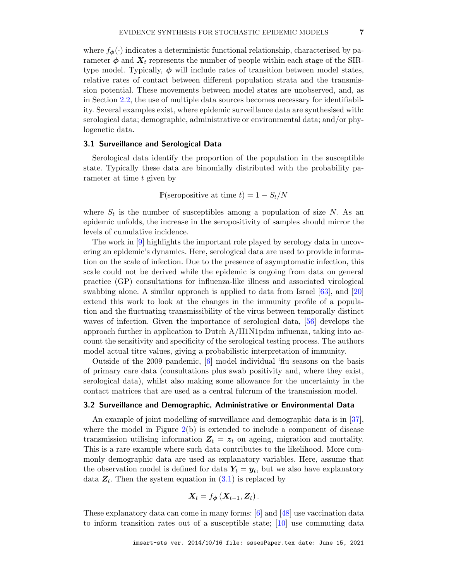where  $f_{\phi}(\cdot)$  indicates a deterministic functional relationship, characterised by parameter  $\phi$  and  $X_t$  represents the number of people within each stage of the SIRtype model. Typically,  $\phi$  will include rates of transition between model states, relative rates of contact between different population strata and the transmission potential. These movements between model states are unobserved, and, as in Section [2.2,](#page-4-2) the use of multiple data sources becomes necessary for identifiability. Several examples exist, where epidemic surveillance data are synthesised with: serological data; demographic, administrative or environmental data; and/or phylogenetic data.

#### 3.1 Surveillance and Serological Data

Serological data identify the proportion of the population in the susceptible state. Typically these data are binomially distributed with the probability parameter at time  $t$  given by

P(seropositive at time  $t$ ) = 1 –  $S_t/N$ 

where  $S_t$  is the number of susceptibles among a population of size N. As an epidemic unfolds, the increase in the seropositivity of samples should mirror the levels of cumulative incidence.

The work in [\[9\]](#page-10-13) highlights the important role played by serology data in uncovering an epidemic's dynamics. Here, serological data are used to provide information on the scale of infection. Due to the presence of asymptomatic infection, this scale could not be derived while the epidemic is ongoing from data on general practice (GP) consultations for influenza-like illness and associated virological swabbing alone. A similar approach is applied to data from Israel [\[63\]](#page-13-3), and [\[20\]](#page-11-9) extend this work to look at the changes in the immunity profile of a population and the fluctuating transmissibility of the virus between temporally distinct waves of infection. Given the importance of serological data, [\[56\]](#page-12-11) develops the approach further in application to Dutch  $A/H1N1$ pdm influenza, taking into account the sensitivity and specificity of the serological testing process. The authors model actual titre values, giving a probabilistic interpretation of immunity.

Outside of the 2009 pandemic, [\[6\]](#page-10-14) model individual 'flu seasons on the basis of primary care data (consultations plus swab positivity and, where they exist, serological data), whilst also making some allowance for the uncertainty in the contact matrices that are used as a central fulcrum of the transmission model.

#### 3.2 Surveillance and Demographic, Administrative or Environmental Data

An example of joint modelling of surveillance and demographic data is in [\[37\]](#page-11-7), where the model in Figure  $2(b)$  $2(b)$  is extended to include a component of disease transmission utilising information  $Z_t = z_t$  on ageing, migration and mortality. This is a rare example where such data contributes to the likelihood. More commonly demographic data are used as explanatory variables. Here, assume that the observation model is defined for data  $Y_t = y_t$ , but we also have explanatory data  $Z_t$ . Then the system equation in  $(3.1)$  is replaced by

$$
\mathbf{X}_{t}=f_{\boldsymbol{\phi}}\left(\mathbf{X}_{t-1},\mathbf{Z}_{t}\right).
$$

These explanatory data can come in many forms: [\[6\]](#page-10-14) and [\[48\]](#page-12-0) use vaccination data to inform transition rates out of a susceptible state; [\[10\]](#page-10-15) use commuting data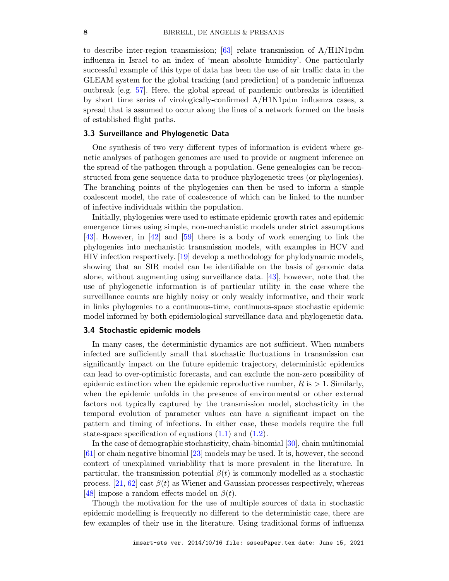to describe inter-region transmission; [\[63\]](#page-13-3) relate transmission of  $A/H1N1pdm$ influenza in Israel to an index of 'mean absolute humidity'. One particularly successful example of this type of data has been the use of air traffic data in the GLEAM system for the global tracking (and prediction) of a pandemic influenza outbreak [e.g. [57\]](#page-12-12). Here, the global spread of pandemic outbreaks is identified by short time series of virologically-confirmed A/H1N1pdm influenza cases, a spread that is assumed to occur along the lines of a network formed on the basis of established flight paths.

# <span id="page-7-1"></span>3.3 Surveillance and Phylogenetic Data

One synthesis of two very different types of information is evident where genetic analyses of pathogen genomes are used to provide or augment inference on the spread of the pathogen through a population. Gene genealogies can be reconstructed from gene sequence data to produce phylogenetic trees (or phylogenies). The branching points of the phylogenies can then be used to inform a simple coalescent model, the rate of coalescence of which can be linked to the number of infective individuals within the population.

Initially, phylogenies were used to estimate epidemic growth rates and epidemic emergence times using simple, non-mechanistic models under strict assumptions [\[43\]](#page-12-13). However, in [\[42\]](#page-12-14) and [\[59\]](#page-13-4) there is a body of work emerging to link the phylogenies into mechanistic transmission models, with examples in HCV and HIV infection respectively. [\[19\]](#page-11-10) develop a methodology for phylodynamic models, showing that an SIR model can be identifiable on the basis of genomic data alone, without augmenting using surveillance data. [\[43\]](#page-12-13), however, note that the use of phylogenetic information is of particular utility in the case where the surveillance counts are highly noisy or only weakly informative, and their work in links phylogenies to a continuous-time, continuous-space stochastic epidemic model informed by both epidemiological surveillance data and phylogenetic data.

# <span id="page-7-0"></span>3.4 Stochastic epidemic models

In many cases, the deterministic dynamics are not sufficient. When numbers infected are sufficiently small that stochastic fluctuations in transmission can significantly impact on the future epidemic trajectory, deterministic epidemics can lead to over-optimistic forecasts, and can exclude the non-zero possibility of epidemic extinction when the epidemic reproductive number,  $R$  is  $> 1$ . Similarly, when the epidemic unfolds in the presence of environmental or other external factors not typically captured by the transmission model, stochasticity in the temporal evolution of parameter values can have a significant impact on the pattern and timing of infections. In either case, these models require the full state-space specification of equations  $(1.1)$  and  $(1.2)$ .

In the case of demographic stochasticity, chain-binomial [\[30\]](#page-11-11), chain multinomial [\[61\]](#page-13-1) or chain negative binomial [\[23\]](#page-11-12) models may be used. It is, however, the second context of unexplained variablility that is more prevalent in the literature. In particular, the transmission potential  $\beta(t)$  is commonly modelled as a stochastic process. [\[21,](#page-11-13) [62\]](#page-13-5) cast  $\beta(t)$  as Wiener and Gaussian processes respectively, whereas [\[48\]](#page-12-0) impose a random effects model on  $\beta(t)$ .

Though the motivation for the use of multiple sources of data in stochastic epidemic modelling is frequently no different to the deterministic case, there are few examples of their use in the literature. Using traditional forms of influenza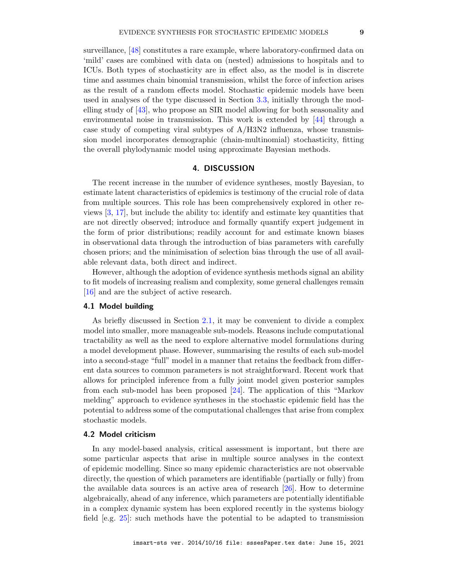surveillance, [\[48\]](#page-12-0) constitutes a rare example, where laboratory-confirmed data on 'mild' cases are combined with data on (nested) admissions to hospitals and to ICUs. Both types of stochasticity are in effect also, as the model is in discrete time and assumes chain binomial transmission, whilst the force of infection arises as the result of a random effects model. Stochastic epidemic models have been used in analyses of the type discussed in Section [3.3,](#page-7-1) initially through the modelling study of [\[43\]](#page-12-13), who propose an SIR model allowing for both seasonality and

environmental noise in transmission. This work is extended by [\[44\]](#page-12-15) through a case study of competing viral subtypes of  $A/H3N2$  influenza, whose transmission model incorporates demographic (chain-multinomial) stochasticity, fitting the overall phylodynamic model using approximate Bayesian methods.

# 4. DISCUSSION

<span id="page-8-0"></span>The recent increase in the number of evidence syntheses, mostly Bayesian, to estimate latent characteristics of epidemics is testimony of the crucial role of data from multiple sources. This role has been comprehensively explored in other reviews [\[3,](#page-10-0) [17\]](#page-10-4), but include the ability to: identify and estimate key quantities that are not directly observed; introduce and formally quantify expert judgement in the form of prior distributions; readily account for and estimate known biases in observational data through the introduction of bias parameters with carefully chosen priors; and the minimisation of selection bias through the use of all available relevant data, both direct and indirect.

However, although the adoption of evidence synthesis methods signal an ability to fit models of increasing realism and complexity, some general challenges remain [\[16\]](#page-10-16) and are the subject of active research.

# 4.1 Model building

As briefly discussed in Section [2.1,](#page-2-1) it may be convenient to divide a complex model into smaller, more manageable sub-models. Reasons include computational tractability as well as the need to explore alternative model formulations during a model development phase. However, summarising the results of each sub-model into a second-stage "full" model in a manner that retains the feedback from different data sources to common parameters is not straightforward. Recent work that allows for principled inference from a fully joint model given posterior samples from each sub-model has been proposed [\[24\]](#page-11-14). The application of this "Markov melding" approach to evidence syntheses in the stochastic epidemic field has the potential to address some of the computational challenges that arise from complex stochastic models.

#### 4.2 Model criticism

In any model-based analysis, critical assessment is important, but there are some particular aspects that arise in multiple source analyses in the context of epidemic modelling. Since so many epidemic characteristics are not observable directly, the question of which parameters are identifiable (partially or fully) from the available data sources is an active area of research [\[26\]](#page-11-15). How to determine algebraically, ahead of any inference, which parameters are potentially identifiable in a complex dynamic system has been explored recently in the systems biology field [e.g. [25\]](#page-11-16): such methods have the potential to be adapted to transmission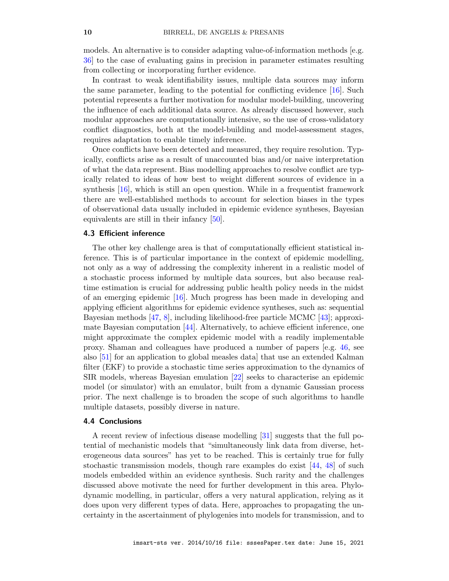models. An alternative is to consider adapting value-of-information methods [e.g. [36\]](#page-11-17) to the case of evaluating gains in precision in parameter estimates resulting from collecting or incorporating further evidence.

In contrast to weak identifiability issues, multiple data sources may inform the same parameter, leading to the potential for conflicting evidence [\[16\]](#page-10-16). Such potential represents a further motivation for modular model-building, uncovering the influence of each additional data source. As already discussed however, such modular approaches are computationally intensive, so the use of cross-validatory conflict diagnostics, both at the model-building and model-assessment stages, requires adaptation to enable timely inference.

Once conflicts have been detected and measured, they require resolution. Typically, conflicts arise as a result of unaccounted bias and/or naive interpretation of what the data represent. Bias modelling approaches to resolve conflict are typically related to ideas of how best to weight different sources of evidence in a synthesis [\[16\]](#page-10-16), which is still an open question. While in a frequentist framework there are well-established methods to account for selection biases in the types of observational data usually included in epidemic evidence syntheses, Bayesian equivalents are still in their infancy [\[50\]](#page-12-16).

#### 4.3 Efficient inference

The other key challenge area is that of computationally efficient statistical inference. This is of particular importance in the context of epidemic modelling, not only as a way of addressing the complexity inherent in a realistic model of a stochastic process informed by multiple data sources, but also because realtime estimation is crucial for addressing public health policy needs in the midst of an emerging epidemic [\[16\]](#page-10-16). Much progress has been made in developing and applying efficient algorithms for epidemic evidence syntheses, such as: sequential Bayesian methods [\[47,](#page-12-17) [8\]](#page-10-17), including likelihood-free particle MCMC [\[43\]](#page-12-13); approximate Bayesian computation [\[44\]](#page-12-15). Alternatively, to achieve efficient inference, one might approximate the complex epidemic model with a readily implementable proxy. Shaman and colleagues have produced a number of papers [e.g. [46,](#page-12-18) see also [\[51\]](#page-12-19) for an application to global measles data] that use an extended Kalman filter (EKF) to provide a stochastic time series approximation to the dynamics of SIR models, whereas Bayesian emulation [\[22\]](#page-11-18) seeks to characterise an epidemic model (or simulator) with an emulator, built from a dynamic Gaussian process prior. The next challenge is to broaden the scope of such algorithms to handle multiple datasets, possibly diverse in nature.

### 4.4 Conclusions

A recent review of infectious disease modelling [\[31\]](#page-11-19) suggests that the full potential of mechanistic models that "simultaneously link data from diverse, heterogeneous data sources" has yet to be reached. This is certainly true for fully stochastic transmission models, though rare examples do exist [\[44,](#page-12-15) [48\]](#page-12-0) of such models embedded within an evidence synthesis. Such rarity and the challenges discussed above motivate the need for further development in this area. Phylodynamic modelling, in particular, offers a very natural application, relying as it does upon very different types of data. Here, approaches to propagating the uncertainty in the ascertainment of phylogenies into models for transmission, and to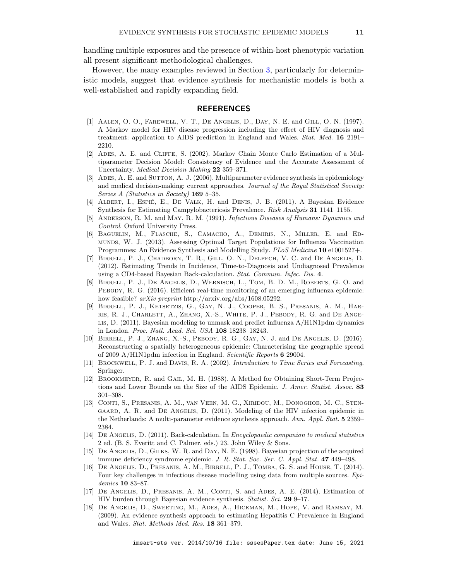handling multiple exposures and the presence of within-host phenotypic variation all present significant methodological challenges.

However, the many examples reviewed in Section [3,](#page-5-0) particularly for deterministic models, suggest that evidence synthesis for mechanistic models is both a well-established and rapidly expanding field.

## REFERENCES

- <span id="page-10-11"></span>[1] Aalen, O. O., Farewell, V. T., De Angelis, D., Day, N. E. and Gill, O. N. (1997). A Markov model for HIV disease progression including the effect of HIV diagnosis and treatment: application to AIDS prediction in England and Wales. Stat. Med. 16 2191– 2210.
- <span id="page-10-3"></span>[2] Ades, A. E. and Cliffe, S. (2002). Markov Chain Monte Carlo Estimation of a Multiparameter Decision Model: Consistency of Evidence and the Accurate Assessment of Uncertainty. Medical Decision Making 22 359–371.
- <span id="page-10-0"></span>[3] ADES, A. E. and SUTTON, A. J. (2006). Multiparameter evidence synthesis in epidemiology and medical decision-making: current approaches. Journal of the Royal Statistical Society: Series A (Statistics in Society) 169 5–35.
- <span id="page-10-7"></span>[4] ALBERT, I., ESPIÉ, E., DE VALK, H. and DENIS, J. B. (2011). A Bayesian Evidence Synthesis for Estimating Campylobacteriosis Prevalence. Risk Analysis 31 1141–1155.
- <span id="page-10-12"></span>[5] ANDERSON, R. M. and MAY, R. M. (1991). *Infectious Diseases of Humans: Dynamics and* Control. Oxford University Press.
- <span id="page-10-14"></span>[6] Baguelin, M., Flasche, S., Camacho, A., Demiris, N., Miller, E. and Edmunds, W. J. (2013). Assessing Optimal Target Populations for Influenza Vaccination Programmes: An Evidence Synthesis and Modelling Study. PLoS Medicine 10 e1001527+.
- <span id="page-10-2"></span>[7] Birrell, P. J., Chadborn, T. R., Gill, O. N., Delpech, V. C. and De Angelis, D. (2012). Estimating Trends in Incidence, Time-to-Diagnosis and Undiagnosed Prevalence using a CD4-based Bayesian Back-calculation. Stat. Commun. Infec. Dis. 4.
- <span id="page-10-17"></span>[8] Birrell, P. J., De Angelis, D., Wernisch, L., Tom, B. D. M., Roberts, G. O. and PEBODY, R. G. (2016). Efficient real-time monitoring of an emerging influenza epidemic: how feasible? arXiv preprint http://arxiv.org/abs/1608.05292.
- <span id="page-10-13"></span>[9] Birrell, P. J., Ketsetzis, G., Gay, N. J., Cooper, B. S., Presanis, A. M., Harris, R. J., Charlett, A., Zhang, X.-S., White, P. J., Pebody, R. G. and De Ange-LIS, D. (2011). Bayesian modeling to unmask and predict influenza  $A/H1N1pdm$  dynamics in London. Proc. Natl. Acad. Sci. USA 108 18238–18243.
- <span id="page-10-15"></span>[10] Birrell, P. J., Zhang, X.-S., Pebody, R. G., Gay, N. J. and De Angelis, D. (2016). Reconstructing a spatially heterogeneous epidemic: Characterising the geographic spread of 2009 A/H1N1pdm infection in England. Scientific Reports 6 29004.
- <span id="page-10-1"></span>[11] BROCKWELL, P. J. and DAVIS, R. A. (2002). Introduction to Time Series and Forecasting. Springer.
- <span id="page-10-8"></span>[12] Brookmeyer, R. and Gail, M. H. (1988). A Method for Obtaining Short-Term Projections and Lower Bounds on the Size of the AIDS Epidemic. J. Amer. Statist. Assoc. 83 301–308.
- <span id="page-10-5"></span>[13] Conti, S., Presanis, A. M., van Veen, M. G., Xiridou, M., Donoghoe, M. C., Stengaard, A. R. and De Angelis, D. (2011). Modeling of the HIV infection epidemic in the Netherlands: A multi-parameter evidence synthesis approach. Ann. Appl. Stat. 5 2359– 2384.
- <span id="page-10-10"></span>[14] DE ANGELIS, D. (2011). Back-calculation. In *Encyclopaedic companion to medical statistics* 2 ed. (B. S. Everitt and C. Palmer, eds.) 23. John Wiley & Sons.
- <span id="page-10-9"></span>[15] DE ANGELIS, D., GILKS, W. R. and DAY, N. E. (1998). Bayesian projection of the acquired immune deficiency syndrome epidemic. J. R. Stat. Soc. Ser. C. Appl. Stat. 47 449–498.
- <span id="page-10-16"></span>[16] De Angelis, D., Presanis, A. M., Birrell, P. J., Tomba, G. S. and House, T. (2014). Four key challenges in infectious disease modelling using data from multiple sources. Epidemics 10 83–87.
- <span id="page-10-4"></span>[17] DE ANGELIS, D., PRESANIS, A. M., CONTI, S. and ADES, A. E. (2014). Estimation of HIV burden through Bayesian evidence synthesis. Statist. Sci. 29 9–17.
- <span id="page-10-6"></span>[18] De Angelis, D., Sweeting, M., Ades, A., Hickman, M., Hope, V. and Ramsay, M. (2009). An evidence synthesis approach to estimating Hepatitis C Prevalence in England and Wales. Stat. Methods Med. Res. 18 361–379.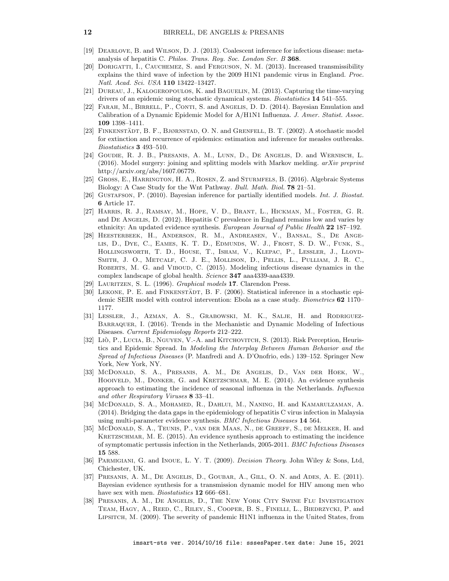- <span id="page-11-10"></span>[19] Dearlove, B. and Wilson, D. J. (2013). Coalescent inference for infectious disease: metaanalysis of hepatitis C. Philos. Trans. Roy. Soc. London Ser. B 368.
- <span id="page-11-9"></span>[20] DORIGATTI, I., CAUCHEMEZ, S. and FERGUSON, N. M. (2013). Increased transmissibility explains the third wave of infection by the 2009 H1N1 pandemic virus in England. Proc. Natl. Acad. Sci. USA 110 13422–13427.
- <span id="page-11-13"></span>[21] Dureau, J., Kalogeropoulos, K. and Baguelin, M. (2013). Capturing the time-varying drivers of an epidemic using stochastic dynamical systems. Biostatistics 14 541–555.
- <span id="page-11-18"></span>[22] FARAH, M., BIRRELL, P., CONTI, S. and ANGELIS, D. D. (2014). Bayesian Emulation and Calibration of a Dynamic Epidemic Model for A/H1N1 Influenza. J. Amer. Statist. Assoc. 109 1398–1411.
- <span id="page-11-12"></span>[23] FINKENSTÄDT, B. F., BJØRNSTAD, O. N. and GRENFELL, B. T.  $(2002)$ . A stochastic model for extinction and recurrence of epidemics: estimation and inference for measles outbreaks. Biostatistics 3 493–510.
- <span id="page-11-14"></span>[24] Goudie, R. J. B., Presanis, A. M., Lunn, D., De Angelis, D. and Wernisch, L.  $(2016)$ . Model surgery: joining and splitting models with Markov melding.  $arXiv$  preprint http://arxiv.org/abs/1607.06779.
- <span id="page-11-16"></span>[25] Gross, E., Harrington, H. A., Rosen, Z. and Sturmfels, B. (2016). Algebraic Systems Biology: A Case Study for the Wnt Pathway. Bull. Math. Biol. 78 21–51.
- <span id="page-11-15"></span>[26] GUSTAFSON, P. (2010). Bayesian inference for partially identified models. *Int. J. Biostat.* 6 Article 17.
- <span id="page-11-3"></span>[27] Harris, R. J., Ramsay, M., Hope, V. D., Brant, L., Hickman, M., Foster, G. R. and De Angelis, D. (2012). Hepatitis C prevalence in England remains low and varies by ethnicity: An updated evidence synthesis. European Journal of Public Health 22 187–192.
- <span id="page-11-0"></span>[28] Heesterbeek, H., Anderson, R. M., Andreasen, V., Bansal, S., De Angelis, D., Dye, C., Eames, K. T. D., Edmunds, W. J., Frost, S. D. W., Funk, S., Hollingsworth, T. D., House, T., Isham, V., Klepac, P., Lessler, J., Lloyd-Smith, J. O., Metcalf, C. J. E., Mollison, D., Pellis, L., Pulliam, J. R. C., ROBERTS, M. G. and VIBOUD, C. (2015). Modeling infectious disease dynamics in the complex landscape of global health. Science 347 aaa4339-aaa4339.
- <span id="page-11-2"></span>[29] Lauritzen, S. L. (1996). Graphical models 17. Clarendon Press.
- <span id="page-11-11"></span>[30] LEKONE, P. E. and FINKENSTÄDT, B. F. (2006). Statistical inference in a stochastic epidemic SEIR model with control intervention: Ebola as a case study. Biometrics 62 1170– 1177.
- <span id="page-11-19"></span>[31] Lessler, J., Azman, A. S., Grabowski, M. K., Salje, H. and Rodriguez-Barraquer, I. (2016). Trends in the Mechanistic and Dynamic Modeling of Infectious Diseases. Current Epidemiology Reports 212–222.
- <span id="page-11-1"></span>[32] Liò, P., Lucia, B., Nguyen, V.-A. and Kitchovitch, S. (2013). Risk Perception, Heuristics and Epidemic Spread. In Modeling the Interplay Between Human Behavior and the Spread of Infectious Diseases (P. Manfredi and A. D'Onofrio, eds.) 139–152. Springer New York, New York, NY.
- <span id="page-11-6"></span>[33] McDonald, S. A., Presanis, A. M., De Angelis, D., Van der Hoek, W., HOOIVELD, M., DONKER, G. and KRETZSCHMAR, M. E. (2014). An evidence synthesis approach to estimating the incidence of seasonal influenza in the Netherlands. Influenza and other Respiratory Viruses 8 33–41.
- <span id="page-11-4"></span>[34] McDonald, S. A., Mohamed, R., Dahlui, M., Naning, H. and Kamarulzaman, A. (2014). Bridging the data gaps in the epidemiology of hepatitis C virus infection in Malaysia using multi-parameter evidence synthesis. BMC Infectious Diseases 14 564.
- <span id="page-11-8"></span>[35] McDonald, S. A., Teunis, P., van der Maas, N., de Greeff, S., de Melker, H. and KRETZSCHMAR, M. E. (2015). An evidence synthesis approach to estimating the incidence of symptomatic pertussis infection in the Netherlands, 2005-2011. BMC Infectious Diseases 15 588.
- <span id="page-11-17"></span>[36] PARMIGIANI, G. and INOUE, L. Y. T. (2009). *Decision Theory*. John Wiley & Sons, Ltd, Chichester, UK.
- <span id="page-11-7"></span>[37] Presanis, A. M., De Angelis, D., Goubar, A., Gill, O. N. and Ades, A. E. (2011). Bayesian evidence synthesis for a transmission dynamic model for HIV among men who have sex with men. *Biostatistics* **12** 666–681.
- <span id="page-11-5"></span>[38] Presanis, A. M., De Angelis, D., The New York City Swine Flu Investigation Team, Hagy, A., Reed, C., Riley, S., Cooper, B. S., Finelli, L., Biedrzycki, P. and Lipsitch, M. (2009). The severity of pandemic H1N1 influenza in the United States, from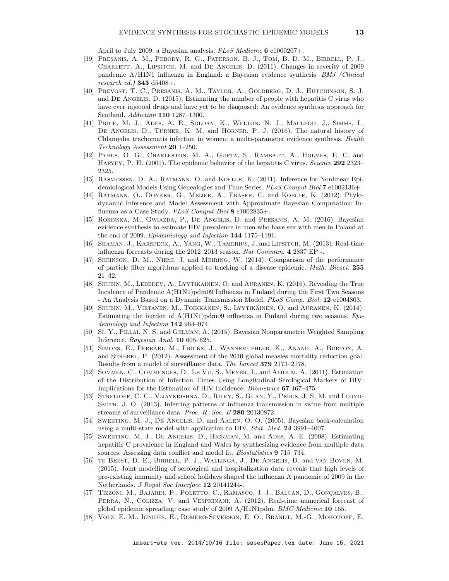April to July 2009: a Bayesian analysis. PLoS Medicine 6 e1000207+.

- <span id="page-12-4"></span>[39] Presanis, A. M., Pebody, R. G., Paterson, B. J., Tom, B. D. M., Birrell, P. J., CHARLETT, A., LIPSITCH, M. and DE ANGELIS, D. (2011). Changes in severity of 2009 pandemic A/H1N1 influenza in England: a Bayesian evidence synthesis. BMJ (Clinical research ed.)  $343$  d5408+.
- <span id="page-12-3"></span>[40] Prevost, T. C., Presanis, A. M., Taylor, A., Goldberg, D. J., Hutchinson, S. J. and De Angelis, D. (2015). Estimating the number of people with hepatitis C virus who have ever injected drugs and have yet to be diagnosed: An evidence synthesis approach for Scotland. Addiction 110 1287–1300.
- <span id="page-12-6"></span>[41] Price, M. J., Ades, A. E., Soldan, K., Welton, N. J., Macleod, J., Simms, I., DE ANGELIS, D., TURNER, K. M. and HORNER, P. J. (2016). The natural history of Chlamydia trachomatis infection in women: a multi-parameter evidence synthesis. Health Technology Assessment 20 1–250.
- <span id="page-12-14"></span>[42] Pybus, O. G., Charleston, M. A., Gupta, S., Rambaut, A., Holmes, E. C. and HARVEY, P. H. (2001). The epidemic behavior of the hepatitis C virus. Science 292 2323-2325.
- <span id="page-12-13"></span>[43] Rasmussen, D. A., Ratmann, O. and Koelle, K. (2011). Inference for Nonlinear Epidemiological Models Using Genealogies and Time Series. PLoS Comput Biol 7 e1002136+.
- <span id="page-12-15"></span>[44] Ratmann, O., Donker, G., Meijer, A., Fraser, C. and Koelle, K. (2012). Phylodynamic Inference and Model Assessment with Approximate Bayesian Computation: Influenza as a Case Study. PLoS Comput Biol 8 e1002835+.
- <span id="page-12-1"></span>[45] ROSINSKA, M., GWIAZDA, P., DE ANGELIS, D. and PRESANIS, A. M. (2016). Bayesian evidence synthesis to estimate HIV prevalence in men who have sex with men in Poland at the end of 2009. Epidemiology and Infection 144 1175–1191.
- <span id="page-12-18"></span>[46] Shaman, J., Karspeck, A., Yang, W., Tamerius, J. and Lipsitch, M. (2013). Real-time influenza forecasts during the 2012–2013 season. Nat Commun. 4 2837 EP -.
- <span id="page-12-17"></span>[47] Sheinson, D. M., Niemi, J. and Meiring, W. (2014). Comparison of the performance of particle filter algorithms applied to tracking of a disease epidemic. Math. Biosci. 255 21–32.
- <span id="page-12-0"></span>[48] SHUBIN, M., LEBEDEV, A., LYYTIKAINEN, O. and AURANEN, K.  $(2016)$ . Revealing the True Incidence of Pandemic A(H1N1)pdm09 Influenza in Finland during the First Two Seasons - An Analysis Based on a Dynamic Transmission Model. PLoS Comp. Biol. 12 e1004803.
- <span id="page-12-5"></span>[49] SHUBIN, M., VIRTANEN, M., TOIKKANEN, S., LYYTIKÄINEN, O. and AURANEN, K. (2014). Estimating the burden of  $A(H1N1)$  pdm09 influenza in Finland during two seasons. Epidemiology and Infection 142 964–974.
- <span id="page-12-16"></span>[50] Si, Y., Pillai, N. S. and Gelman, A. (2015). Bayesian Nonparametric Weighted Sampling Inference. Bayesian Anal. 10 605–625.
- <span id="page-12-19"></span>[51] Simons, E., Ferrari, M., Fricks, J., Wannemuehler, K., Anand, A., Burton, A. and STREBEL, P. (2012). Assessment of the 2010 global measles mortality reduction goal: Results from a model of surveillance data. The Lancet 379 2173–2178.
- <span id="page-12-9"></span>[52] Sommen, C., Commenges, D., Le Vu, S., Meyer, L. and Alioum, A. (2011). Estimation of the Distribution of Infection Times Using Longitudinal Serological Markers of HIV: Implications for the Estimation of HIV Incidence. Biometrics 67 467–475.
- <span id="page-12-7"></span>[53] Strelioff, C. C., Vijaykrishna, D., Riley, S., Guan, Y., Peiris, J. S. M. and Lloyd-Smith, J. O. (2013). Inferring patterns of influenza transmission in swine from multiple streams of surveillance data. Proc. R. Soc. B 280 20130872.
- <span id="page-12-8"></span>[54] SWEETING, M. J., DE ANGELIS, D. and AALEN, O. O. (2005). Bayesian back-calculation using a multi-state model with application to HIV. Stat. Med. 24 3991–4007.
- <span id="page-12-2"></span>[55] SWEETING, M. J., DE ANGELIS, D., HICKMAN, M. and ADES, A. E. (2008). Estimating hepatitis C prevalence in England and Wales by synthesizing evidence from multiple data sources. Assessing data conflict and model fit. Biostatistics 9 715–734.
- <span id="page-12-11"></span>[56] te Beest, D. E., Birrell, P. J., Wallinga, J., De Angelis, D. and van Boven, M. (2015). Joint modelling of serological and hospitalization data reveals that high levels of pre-existing immunity and school holidays shaped the influenza A pandemic of 2009 in the Netherlands. J Royal Soc Interface 12 20141244-.
- <span id="page-12-12"></span>[57] Tizzoni, M., Bajardi, P., Poletto, C., Ramasco, J. J., Balcan, D., Gonçalves, B., PERRA, N., COLIZZA, V. and VESPIGNANI, A. (2012). Real-time numerical forecast of global epidemic spreading: case study of 2009 A/H1N1pdm. BMC Medicine 10 165.
- <span id="page-12-10"></span>[58] VOLZ, E. M., IONIDES, E., ROMERO-SEVERSON, E. O., BRANDT, M.-G., MOKOTOFF, E.